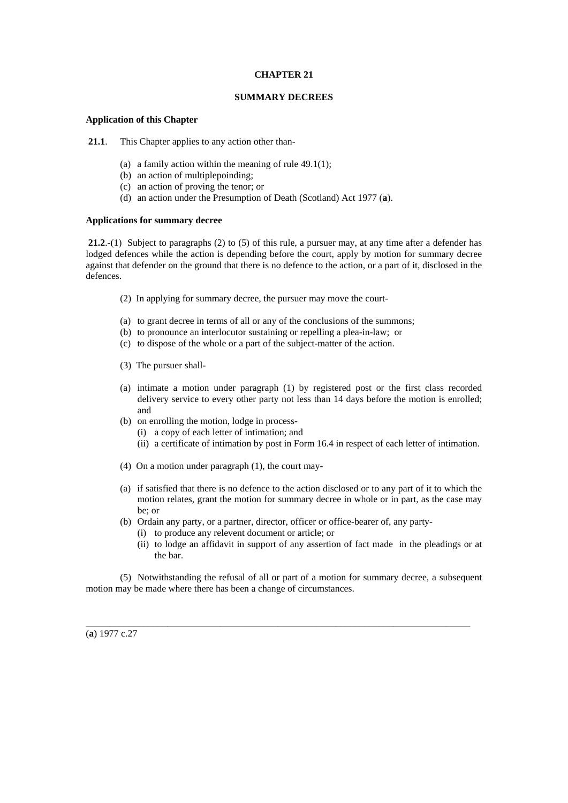# **CHAPTER 21**

## **SUMMARY DECREES**

# **Application of this Chapter**

21.1. This Chapter applies to any action other than-

- (a) a family action within the meaning of rule  $49.1(1)$ ;
- (b) an action of multiplepoinding;
- (c) an action of proving the tenor; or
- (d) an action under the Presumption of Death (Scotland) Act 1977 (**a**).

## **Applications for summary decree**

**21.2**.-(1) Subject to paragraphs (2) to (5) of this rule, a pursuer may, at any time after a defender has lodged defences while the action is depending before the court, apply by motion for summary decree against that defender on the ground that there is no defence to the action, or a part of it, disclosed in the defences.

- (2) In applying for summary decree, the pursuer may move the court-
- (a) to grant decree in terms of all or any of the conclusions of the summons;
- (b) to pronounce an interlocutor sustaining or repelling a plea-in-law; or
- (c) to dispose of the whole or a part of the subject-matter of the action.
- (3) The pursuer shall-
- (a) intimate a motion under paragraph (1) by registered post or the first class recorded delivery service to every other party not less than 14 days before the motion is enrolled; and
- (b) on enrolling the motion, lodge in process-
	- (i) a copy of each letter of intimation; and
	- (ii) a certificate of intimation by post in Form 16.4 in respect of each letter of intimation.
- (4) On a motion under paragraph (1), the court may-
- (a) if satisfied that there is no defence to the action disclosed or to any part of it to which the motion relates, grant the motion for summary decree in whole or in part, as the case may be; or
- (b) Ordain any party, or a partner, director, officer or office-bearer of, any party-
	- (i) to produce any relevent document or article; or
	- (ii) to lodge an affidavit in support of any assertion of fact made in the pleadings or at the bar.

 (5) Notwithstanding the refusal of all or part of a motion for summary decree, a subsequent motion may be made where there has been a change of circumstances.

\_\_\_\_\_\_\_\_\_\_\_\_\_\_\_\_\_\_\_\_\_\_\_\_\_\_\_\_\_\_\_\_\_\_\_\_\_\_\_\_\_\_\_\_\_\_\_\_\_\_\_\_\_\_\_\_\_\_\_\_\_\_\_\_\_\_\_\_\_\_\_\_\_\_\_\_\_\_\_\_

(**a**) 1977 c.27